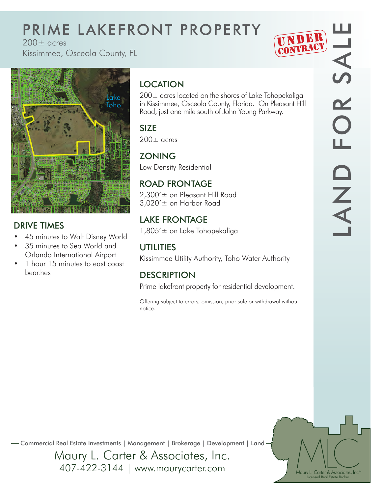# PRIME LAKEFRONT PROPERTY

 $200+$  acres

Kissimmee, Osceola County, FL





#### DRIVE TIMES

- 45 minutes to Walt Disney World
- 35 minutes to Sea World and Orlando International Airport
- 1 hour 15 minutes to east coast beaches

### **LOCATION**

200± acres located on the shores of Lake Tohopekaliga in Kissimmee, Osceola County, Florida. On Pleasant Hill Road, just one mile south of John Young Parkway.

### SIZE

 $200\pm$  acres

#### **ZONING**

Low Density Residential

#### ROAD FRONTAGE

2,300'± on Pleasant Hill Road 3,020'± on Harbor Road

#### LAKE FRONTAGE

1,805'± on Lake Tohopekaliga

#### UTILITIES

Kissimmee Utility Authority, Toho Water Authority

#### **DESCRIPTION**

Prime lakefront property for residential development.

Offering subject to errors, omission, prior sale or withdrawal without notice.

Maury L. Carter & Associates, Inc.<sup>5M</sup> Licensed Real Estate Broker

Commercial Real Estate Investments | Management | Brokerage | Development | Land

Maury L. Carter & Associates, Inc. 407-422-3144 | www.maurycarter.com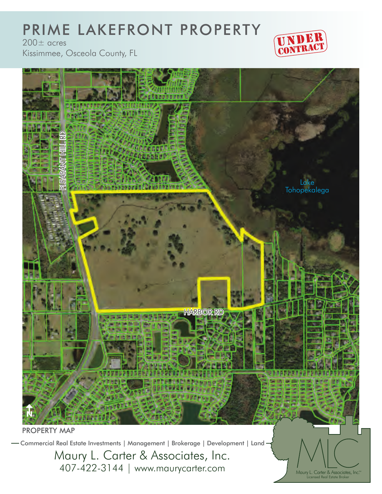#### PRIME LAKEFRONT PROPERTY  $200\pm$  acres



Kissimmee, Osceola County, FL



Commercial Real Estate Investments | Management | Brokerage | Development | Land

Maury L. Carter & Associates, Inc. 407-422-3144 | www.maurycarter.com

Licensed Real Estate Broker Maury L. Carter & Associates, Inc.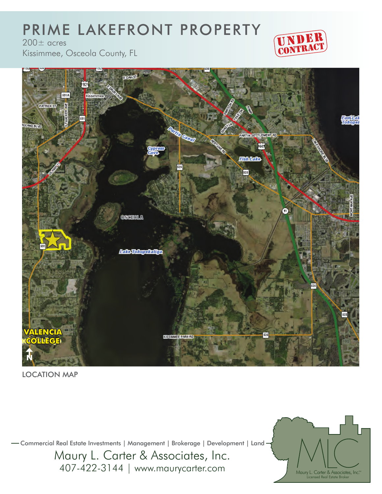### PRIME LAKEFRONT PROPERTY



 $200\pm$  acres

Kissimmee, Osceola County, FL



LOCATION MAP

Commercial Real Estate Investments | Management | Brokerage | Development | Land

Maury L. Carter & Associates, Inc. 407-422-3144 | www.maurycarter.com